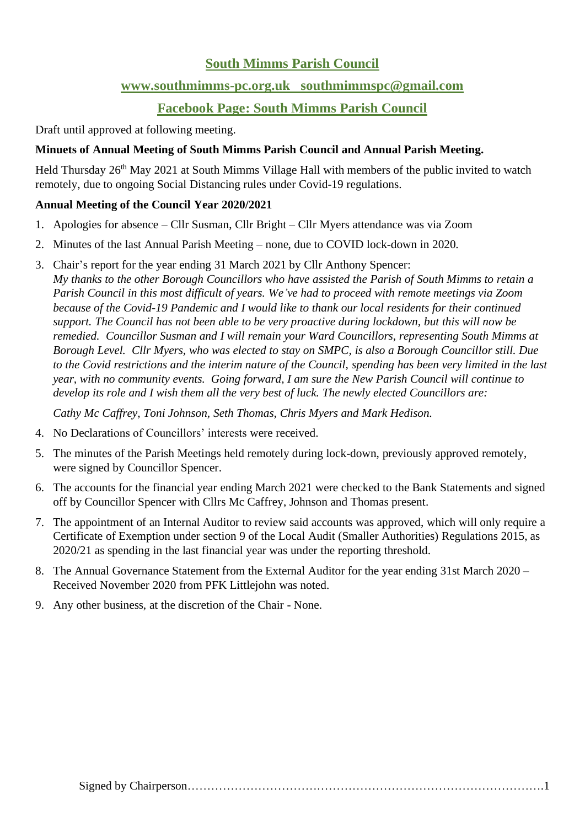## **South Mimms Parish Council**

### **[www.southmimms-pc.org.uk](http://www.southmimms-pc.org.uk/) [southmimmspc@gmail.com](mailto:southmimmspc@gmail.com)**

# **Facebook Page: South Mimms Parish Council**

Draft until approved at following meeting.

#### **Minuets of Annual Meeting of South Mimms Parish Council and Annual Parish Meeting.**

Held Thursday 26<sup>th</sup> May 2021 at South Mimms Village Hall with members of the public invited to watch remotely, due to ongoing Social Distancing rules under Covid-19 regulations.

#### **Annual Meeting of the Council Year 2020/2021**

- 1. Apologies for absence Cllr Susman, Cllr Bright Cllr Myers attendance was via Zoom
- 2. Minutes of the last Annual Parish Meeting none, due to COVID lock-down in 2020.
- 3. Chair's report for the year ending 31 March 2021 by Cllr Anthony Spencer:

*My thanks to the other Borough Councillors who have assisted the Parish of South Mimms to retain a Parish Council in this most difficult of years. We've had to proceed with remote meetings via Zoom because of the Covid-19 Pandemic and I would like to thank our local residents for their continued support. The Council has not been able to be very proactive during lockdown, but this will now be remedied. Councillor Susman and I will remain your Ward Councillors, representing South Mimms at Borough Level. Cllr Myers, who was elected to stay on SMPC, is also a Borough Councillor still. Due to the Covid restrictions and the interim nature of the Council, spending has been very limited in the last year, with no community events. Going forward, I am sure the New Parish Council will continue to develop its role and I wish them all the very best of luck. The newly elected Councillors are:* 

*Cathy Mc Caffrey, Toni Johnson, Seth Thomas, Chris Myers and Mark Hedison.*

- 4. No Declarations of Councillors' interests were received.
- 5. The minutes of the Parish Meetings held remotely during lock-down, previously approved remotely, were signed by Councillor Spencer.
- 6. The accounts for the financial year ending March 2021 were checked to the Bank Statements and signed off by Councillor Spencer with Cllrs Mc Caffrey, Johnson and Thomas present.
- 7. The appointment of an Internal Auditor to review said accounts was approved, which will only require a Certificate of Exemption under section 9 of the Local Audit (Smaller Authorities) Regulations 2015, as 2020/21 as spending in the last financial year was under the reporting threshold.
- 8. The Annual Governance Statement from the External Auditor for the year ending 31st March 2020 Received November 2020 from PFK Littlejohn was noted.
- 9. Any other business, at the discretion of the Chair None.